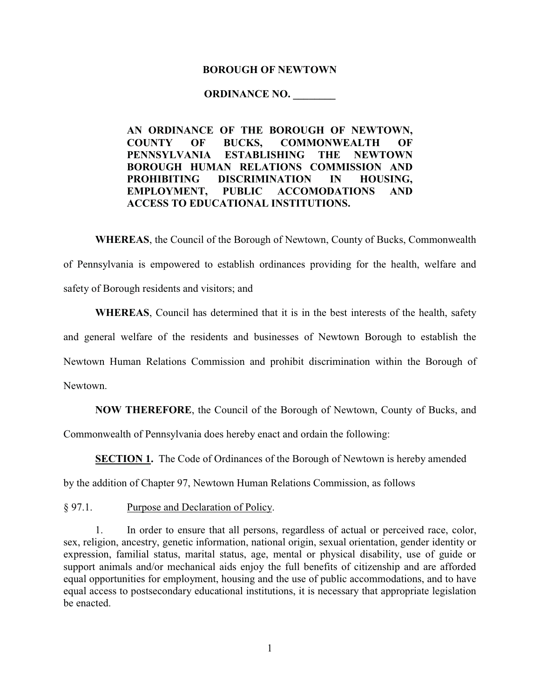#### **BOROUGH OF NEWTOWN**

#### **ORDINANCE NO. \_\_\_\_\_\_\_\_**

**AN ORDINANCE OF THE BOROUGH OF NEWTOWN, COUNTY OF BUCKS, COMMONWEALTH OF PENNSYLVANIA ESTABLISHING THE NEWTOWN BOROUGH HUMAN RELATIONS COMMISSION AND PROHIBITING DISCRIMINATION IN HOUSING, EMPLOYMENT, PUBLIC ACCOMODATIONS AND ACCESS TO EDUCATIONAL INSTITUTIONS.**

**WHEREAS**, the Council of the Borough of Newtown, County of Bucks, Commonwealth of Pennsylvania is empowered to establish ordinances providing for the health, welfare and safety of Borough residents and visitors; and

**WHEREAS**, Council has determined that it is in the best interests of the health, safety and general welfare of the residents and businesses of Newtown Borough to establish the Newtown Human Relations Commission and prohibit discrimination within the Borough of Newtown.

**NOW THEREFORE**, the Council of the Borough of Newtown, County of Bucks, and

Commonwealth of Pennsylvania does hereby enact and ordain the following:

**SECTION 1.** The Code of Ordinances of the Borough of Newtown is hereby amended

by the addition of Chapter 97, Newtown Human Relations Commission, as follows

§ 97.1. Purpose and Declaration of Policy.

1. In order to ensure that all persons, regardless of actual or perceived race, color, sex, religion, ancestry, genetic information, national origin, sexual orientation, gender identity or expression, familial status, marital status, age, mental or physical disability, use of guide or support animals and/or mechanical aids enjoy the full benefits of citizenship and are afforded equal opportunities for employment, housing and the use of public accommodations, and to have equal access to postsecondary educational institutions, it is necessary that appropriate legislation be enacted.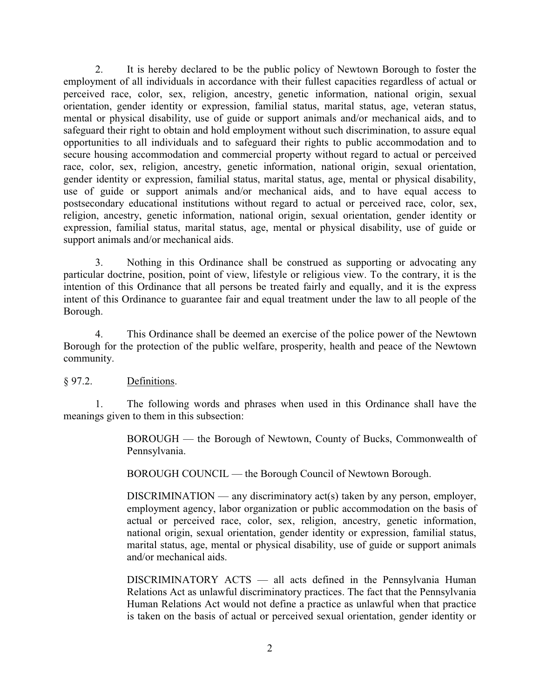2. It is hereby declared to be the public policy of Newtown Borough to foster the employment of all individuals in accordance with their fullest capacities regardless of actual or perceived race, color, sex, religion, ancestry, genetic information, national origin, sexual orientation, gender identity or expression, familial status, marital status, age, veteran status, mental or physical disability, use of guide or support animals and/or mechanical aids, and to safeguard their right to obtain and hold employment without such discrimination, to assure equal opportunities to all individuals and to safeguard their rights to public accommodation and to secure housing accommodation and commercial property without regard to actual or perceived race, color, sex, religion, ancestry, genetic information, national origin, sexual orientation, gender identity or expression, familial status, marital status, age, mental or physical disability, use of guide or support animals and/or mechanical aids, and to have equal access to postsecondary educational institutions without regard to actual or perceived race, color, sex, religion, ancestry, genetic information, national origin, sexual orientation, gender identity or expression, familial status, marital status, age, mental or physical disability, use of guide or support animals and/or mechanical aids.

3. Nothing in this Ordinance shall be construed as supporting or advocating any particular doctrine, position, point of view, lifestyle or religious view. To the contrary, it is the intention of this Ordinance that all persons be treated fairly and equally, and it is the express intent of this Ordinance to guarantee fair and equal treatment under the law to all people of the Borough.

4. This Ordinance shall be deemed an exercise of the police power of the Newtown Borough for the protection of the public welfare, prosperity, health and peace of the Newtown community.

### § 97.2. Definitions.

1. The following words and phrases when used in this Ordinance shall have the meanings given to them in this subsection:

> BOROUGH — the Borough of Newtown, County of Bucks, Commonwealth of Pennsylvania.

BOROUGH COUNCIL — the Borough Council of Newtown Borough.

 $DISCRIMINATION$  — any discriminatory act(s) taken by any person, employer, employment agency, labor organization or public accommodation on the basis of actual or perceived race, color, sex, religion, ancestry, genetic information, national origin, sexual orientation, gender identity or expression, familial status, marital status, age, mental or physical disability, use of guide or support animals and/or mechanical aids.

DISCRIMINATORY ACTS — all acts defined in the Pennsylvania Human Relations Act as unlawful discriminatory practices. The fact that the Pennsylvania Human Relations Act would not define a practice as unlawful when that practice is taken on the basis of actual or perceived sexual orientation, gender identity or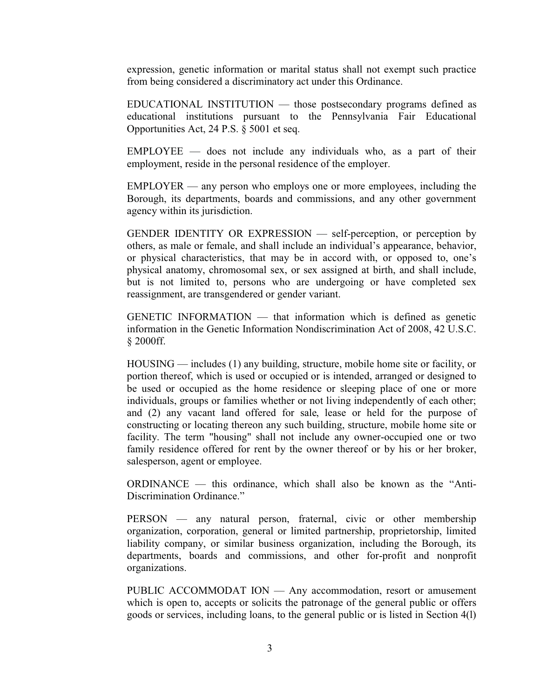expression, genetic information or marital status shall not exempt such practice from being considered a discriminatory act under this Ordinance.

EDUCATIONAL INSTITUTION — those postsecondary programs defined as educational institutions pursuant to the Pennsylvania Fair Educational Opportunities Act, 24 P.S. § 5001 et seq.

EMPLOYEE — does not include any individuals who, as a part of their employment, reside in the personal residence of the employer.

EMPLOYER — any person who employs one or more employees, including the Borough, its departments, boards and commissions, and any other government agency within its jurisdiction.

GENDER IDENTITY OR EXPRESSION — self-perception, or perception by others, as male or female, and shall include an individual's appearance, behavior, or physical characteristics, that may be in accord with, or opposed to, one's physical anatomy, chromosomal sex, or sex assigned at birth, and shall include, but is not limited to, persons who are undergoing or have completed sex reassignment, are transgendered or gender variant.

GENETIC INFORMATION — that information which is defined as genetic information in the Genetic Information Nondiscrimination Act of 2008, 42 U.S.C. § 2000ff.

HOUSING — includes (1) any building, structure, mobile home site or facility, or portion thereof, which is used or occupied or is intended, arranged or designed to be used or occupied as the home residence or sleeping place of one or more individuals, groups or families whether or not living independently of each other; and (2) any vacant land offered for sale, lease or held for the purpose of constructing or locating thereon any such building, structure, mobile home site or facility. The term "housing" shall not include any owner-occupied one or two family residence offered for rent by the owner thereof or by his or her broker, salesperson, agent or employee.

ORDINANCE — this ordinance, which shall also be known as the "Anti-Discrimination Ordinance."

PERSON — any natural person, fraternal, civic or other membership organization, corporation, general or limited partnership, proprietorship, limited liability company, or similar business organization, including the Borough, its departments, boards and commissions, and other for-profit and nonprofit organizations.

PUBLIC ACCOMMODAT ION — Any accommodation, resort or amusement which is open to, accepts or solicits the patronage of the general public or offers goods or services, including loans, to the general public or is listed in Section 4(l)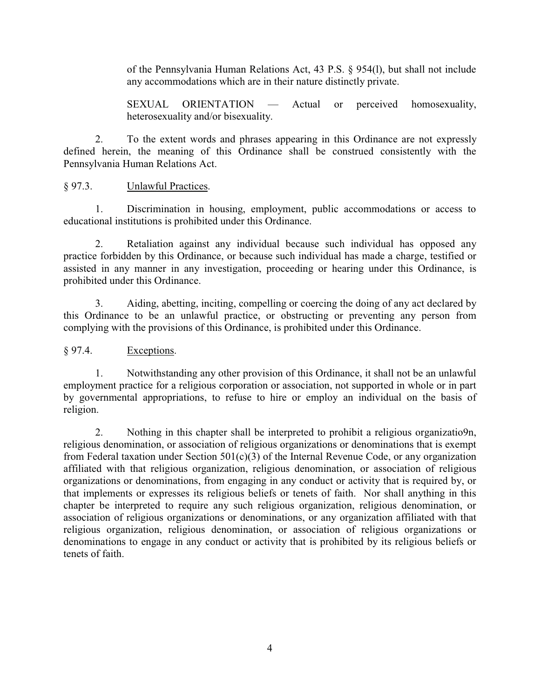of the Pennsylvania Human Relations Act, 43 P.S. § 954(l), but shall not include any accommodations which are in their nature distinctly private.

SEXUAL ORIENTATION — Actual or perceived homosexuality, heterosexuality and/or bisexuality.

2. To the extent words and phrases appearing in this Ordinance are not expressly defined herein, the meaning of this Ordinance shall be construed consistently with the Pennsylvania Human Relations Act.

§ 97.3. Unlawful Practices.

1. Discrimination in housing, employment, public accommodations or access to educational institutions is prohibited under this Ordinance.

2. Retaliation against any individual because such individual has opposed any practice forbidden by this Ordinance, or because such individual has made a charge, testified or assisted in any manner in any investigation, proceeding or hearing under this Ordinance, is prohibited under this Ordinance.

3. Aiding, abetting, inciting, compelling or coercing the doing of any act declared by this Ordinance to be an unlawful practice, or obstructing or preventing any person from complying with the provisions of this Ordinance, is prohibited under this Ordinance.

## § 97.4. Exceptions.

1. Notwithstanding any other provision of this Ordinance, it shall not be an unlawful employment practice for a religious corporation or association, not supported in whole or in part by governmental appropriations, to refuse to hire or employ an individual on the basis of religion.

2. Nothing in this chapter shall be interpreted to prohibit a religious organizatio9n, religious denomination, or association of religious organizations or denominations that is exempt from Federal taxation under Section  $501(c)(3)$  of the Internal Revenue Code, or any organization affiliated with that religious organization, religious denomination, or association of religious organizations or denominations, from engaging in any conduct or activity that is required by, or that implements or expresses its religious beliefs or tenets of faith. Nor shall anything in this chapter be interpreted to require any such religious organization, religious denomination, or association of religious organizations or denominations, or any organization affiliated with that religious organization, religious denomination, or association of religious organizations or denominations to engage in any conduct or activity that is prohibited by its religious beliefs or tenets of faith.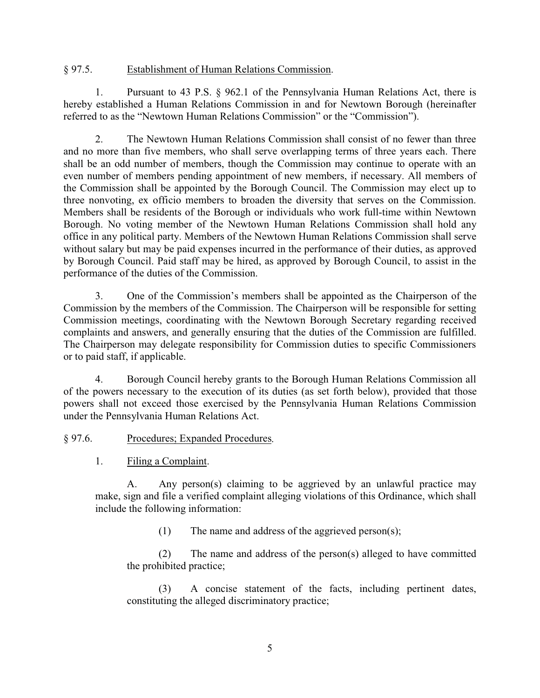### § 97.5. Establishment of Human Relations Commission.

1. Pursuant to 43 P.S. § 962.1 of the Pennsylvania Human Relations Act, there is hereby established a Human Relations Commission in and for Newtown Borough (hereinafter referred to as the "Newtown Human Relations Commission" or the "Commission").

2. The Newtown Human Relations Commission shall consist of no fewer than three and no more than five members, who shall serve overlapping terms of three years each. There shall be an odd number of members, though the Commission may continue to operate with an even number of members pending appointment of new members, if necessary. All members of the Commission shall be appointed by the Borough Council. The Commission may elect up to three nonvoting, ex officio members to broaden the diversity that serves on the Commission. Members shall be residents of the Borough or individuals who work full-time within Newtown Borough. No voting member of the Newtown Human Relations Commission shall hold any office in any political party. Members of the Newtown Human Relations Commission shall serve without salary but may be paid expenses incurred in the performance of their duties, as approved by Borough Council. Paid staff may be hired, as approved by Borough Council, to assist in the performance of the duties of the Commission.

3. One of the Commission's members shall be appointed as the Chairperson of the Commission by the members of the Commission. The Chairperson will be responsible for setting Commission meetings, coordinating with the Newtown Borough Secretary regarding received complaints and answers, and generally ensuring that the duties of the Commission are fulfilled. The Chairperson may delegate responsibility for Commission duties to specific Commissioners or to paid staff, if applicable.

4. Borough Council hereby grants to the Borough Human Relations Commission all of the powers necessary to the execution of its duties (as set forth below), provided that those powers shall not exceed those exercised by the Pennsylvania Human Relations Commission under the Pennsylvania Human Relations Act.

### § 97.6. Procedures; Expanded Procedures.

1. Filing a Complaint.

A. Any person(s) claiming to be aggrieved by an unlawful practice may make, sign and file a verified complaint alleging violations of this Ordinance, which shall include the following information:

(1) The name and address of the aggrieved person(s);

(2) The name and address of the person(s) alleged to have committed the prohibited practice;

(3) A concise statement of the facts, including pertinent dates, constituting the alleged discriminatory practice;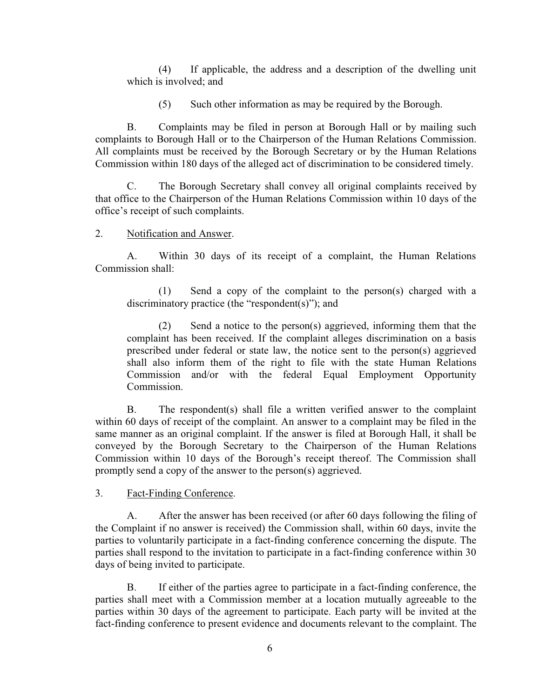(4) If applicable, the address and a description of the dwelling unit which is involved; and

(5) Such other information as may be required by the Borough.

B. Complaints may be filed in person at Borough Hall or by mailing such complaints to Borough Hall or to the Chairperson of the Human Relations Commission. All complaints must be received by the Borough Secretary or by the Human Relations Commission within 180 days of the alleged act of discrimination to be considered timely.

C. The Borough Secretary shall convey all original complaints received by that office to the Chairperson of the Human Relations Commission within 10 days of the office's receipt of such complaints.

2. Notification and Answer.

A. Within 30 days of its receipt of a complaint, the Human Relations Commission shall:

(1) Send a copy of the complaint to the person(s) charged with a discriminatory practice (the "respondent(s)"); and

(2) Send a notice to the person(s) aggrieved, informing them that the complaint has been received. If the complaint alleges discrimination on a basis prescribed under federal or state law, the notice sent to the person(s) aggrieved shall also inform them of the right to file with the state Human Relations Commission and/or with the federal Equal Employment Opportunity Commission.

B. The respondent(s) shall file a written verified answer to the complaint within 60 days of receipt of the complaint. An answer to a complaint may be filed in the same manner as an original complaint. If the answer is filed at Borough Hall, it shall be conveyed by the Borough Secretary to the Chairperson of the Human Relations Commission within 10 days of the Borough's receipt thereof. The Commission shall promptly send a copy of the answer to the person(s) aggrieved.

3. Fact-Finding Conference.

A. After the answer has been received (or after 60 days following the filing of the Complaint if no answer is received) the Commission shall, within 60 days, invite the parties to voluntarily participate in a fact-finding conference concerning the dispute. The parties shall respond to the invitation to participate in a fact-finding conference within 30 days of being invited to participate.

B. If either of the parties agree to participate in a fact-finding conference, the parties shall meet with a Commission member at a location mutually agreeable to the parties within 30 days of the agreement to participate. Each party will be invited at the fact-finding conference to present evidence and documents relevant to the complaint. The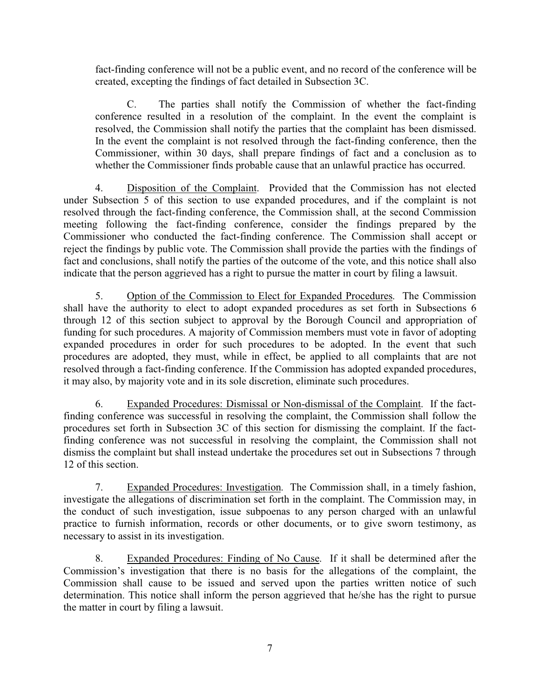fact-finding conference will not be a public event, and no record of the conference will be created, excepting the findings of fact detailed in Subsection 3C.

C. The parties shall notify the Commission of whether the fact-finding conference resulted in a resolution of the complaint. In the event the complaint is resolved, the Commission shall notify the parties that the complaint has been dismissed. In the event the complaint is not resolved through the fact-finding conference, then the Commissioner, within 30 days, shall prepare findings of fact and a conclusion as to whether the Commissioner finds probable cause that an unlawful practice has occurred.

4. Disposition of the Complaint. Provided that the Commission has not elected under Subsection 5 of this section to use expanded procedures, and if the complaint is not resolved through the fact-finding conference, the Commission shall, at the second Commission meeting following the fact-finding conference, consider the findings prepared by the Commissioner who conducted the fact-finding conference. The Commission shall accept or reject the findings by public vote. The Commission shall provide the parties with the findings of fact and conclusions, shall notify the parties of the outcome of the vote, and this notice shall also indicate that the person aggrieved has a right to pursue the matter in court by filing a lawsuit.

5. Option of the Commission to Elect for Expanded Procedures. The Commission shall have the authority to elect to adopt expanded procedures as set forth in Subsections 6 through 12 of this section subject to approval by the Borough Council and appropriation of funding for such procedures. A majority of Commission members must vote in favor of adopting expanded procedures in order for such procedures to be adopted. In the event that such procedures are adopted, they must, while in effect, be applied to all complaints that are not resolved through a fact-finding conference. If the Commission has adopted expanded procedures, it may also, by majority vote and in its sole discretion, eliminate such procedures.

6. Expanded Procedures: Dismissal or Non-dismissal of the Complaint. If the factfinding conference was successful in resolving the complaint, the Commission shall follow the procedures set forth in Subsection 3C of this section for dismissing the complaint. If the factfinding conference was not successful in resolving the complaint, the Commission shall not dismiss the complaint but shall instead undertake the procedures set out in Subsections 7 through 12 of this section.

7. Expanded Procedures: Investigation. The Commission shall, in a timely fashion, investigate the allegations of discrimination set forth in the complaint. The Commission may, in the conduct of such investigation, issue subpoenas to any person charged with an unlawful practice to furnish information, records or other documents, or to give sworn testimony, as necessary to assist in its investigation.

8. Expanded Procedures: Finding of No Cause. If it shall be determined after the Commission's investigation that there is no basis for the allegations of the complaint, the Commission shall cause to be issued and served upon the parties written notice of such determination. This notice shall inform the person aggrieved that he/she has the right to pursue the matter in court by filing a lawsuit.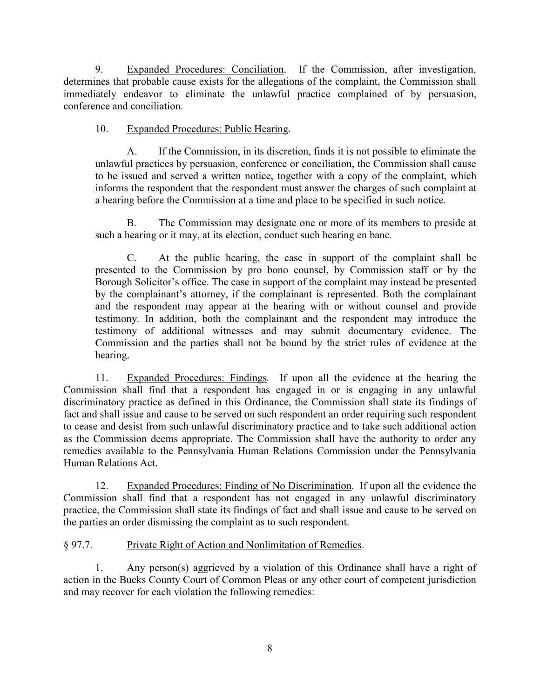9. Expanded Procedures: Conciliation. If the Commission, after investigation, determines that probable cause exists for the allegations of the complaint, the Commission shall immediately endeavor to eliminate the unlawful practice complained of by persuasion, conference and conciliation.

# 10. Expanded Procedures: Public Hearing.

A. If the Commission, in its discretion, finds it is not possible to eliminate the unlawful practices by persuasion, conference or conciliation, the Commission shall cause to be issued and served a written notice, together with a copy of the complaint, which informs the respondent that the respondent must answer the charges of such complaint at a hearing before the Commission at a time and place to be specified in such notice.

B. The Commission may designate one or more of its members to preside at such a hearing or it may, at its election, conduct such hearing en banc.

C. At the public hearing, the case in support of the complaint shall be presented to the Commission by pro bono counsel, by Commission staff or by the Borough Solicitor's office. The case in support of the complaint may instead be presented by the complainant's attorney, if the complainant is represented. Both the complainant and the respondent may appear at the hearing with or without counsel and provide testimony. In addition, both the complainant and the respondent may introduce the testimony of additional witnesses and may submit documentary evidence. The Commission and the parties shall not be bound by the strict rules of evidence at the hearing.

11. Expanded Procedures: Findings. If upon all the evidence at the hearing the Commission shall find that a respondent has engaged in or is engaging in any unlawful discriminatory practice as defined in this Ordinance, the Commission shall state its findings of fact and shall issue and cause to be served on such respondent an order requiring such respondent to cease and desist from such unlawful discriminatory practice and to take such additional action as the Commission deems appropriate. The Commission shall have the authority to order any remedies available to the Pennsylvania Human Relations Commission under the Pennsylvania Human Relations Act.

12. Expanded Procedures: Finding of No Discrimination. If upon all the evidence the Commission shall find that a respondent has not engaged in any unlawful discriminatory practice, the Commission shall state its findings of fact and shall issue and cause to be served on the parties an order dismissing the complaint as to such respondent.

# § 97.7. Private Right of Action and Nonlimitation of Remedies.

1. Any person(s) aggrieved by a violation of this Ordinance shall have a right of action in the Bucks County Court of Common Pleas or any other court of competent jurisdiction and may recover for each violation the following remedies: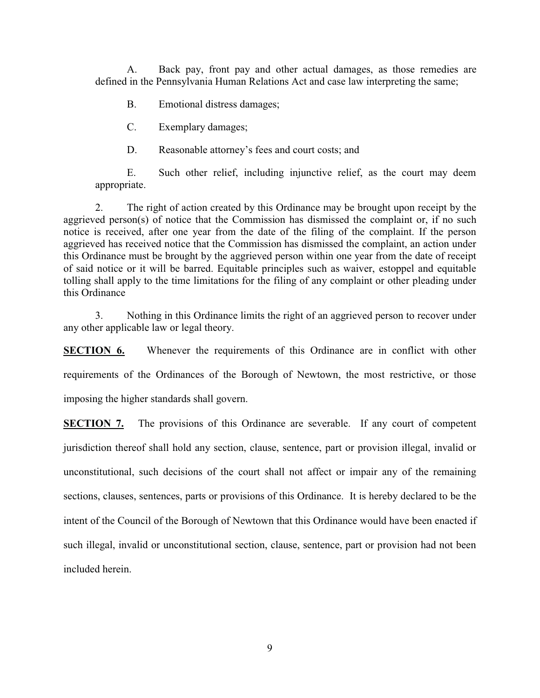A. Back pay, front pay and other actual damages, as those remedies are defined in the Pennsylvania Human Relations Act and case law interpreting the same;

B. Emotional distress damages;

C. Exemplary damages;

D. Reasonable attorney's fees and court costs; and

E. Such other relief, including injunctive relief, as the court may deem appropriate.

2. The right of action created by this Ordinance may be brought upon receipt by the aggrieved person(s) of notice that the Commission has dismissed the complaint or, if no such notice is received, after one year from the date of the filing of the complaint. If the person aggrieved has received notice that the Commission has dismissed the complaint, an action under this Ordinance must be brought by the aggrieved person within one year from the date of receipt of said notice or it will be barred. Equitable principles such as waiver, estoppel and equitable tolling shall apply to the time limitations for the filing of any complaint or other pleading under this Ordinance

3. Nothing in this Ordinance limits the right of an aggrieved person to recover under any other applicable law or legal theory.

**SECTION 6.** Whenever the requirements of this Ordinance are in conflict with other requirements of the Ordinances of the Borough of Newtown, the most restrictive, or those imposing the higher standards shall govern.

**SECTION 7.** The provisions of this Ordinance are severable. If any court of competent jurisdiction thereof shall hold any section, clause, sentence, part or provision illegal, invalid or unconstitutional, such decisions of the court shall not affect or impair any of the remaining sections, clauses, sentences, parts or provisions of this Ordinance. It is hereby declared to be the intent of the Council of the Borough of Newtown that this Ordinance would have been enacted if such illegal, invalid or unconstitutional section, clause, sentence, part or provision had not been included herein.